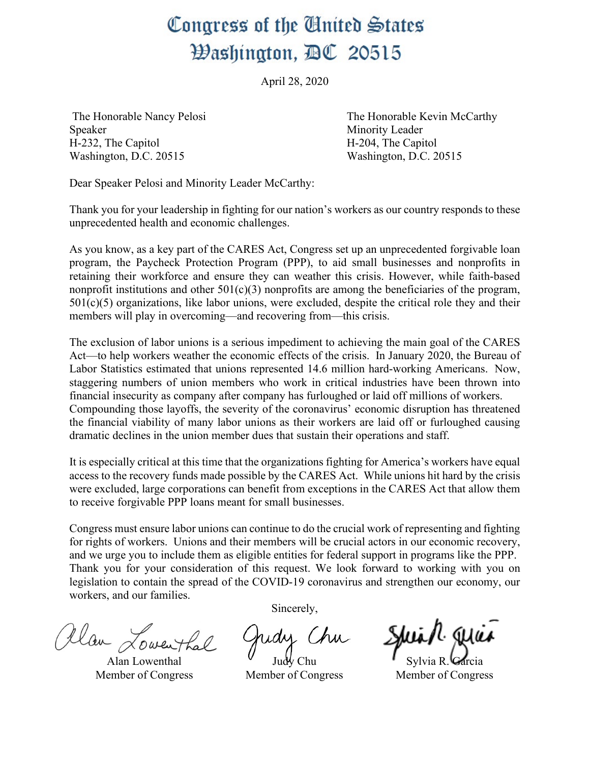## Congress of the United States Washington, AC 20515

April 28, 2020

Speaker Minority Leader H-232, The Capitol H-204, The Capitol Washington, D.C. 20515 Washington, D.C. 20515

The Honorable Nancy Pelosi The Honorable Kevin McCarthy

Dear Speaker Pelosi and Minority Leader McCarthy:

Thank you for your leadership in fighting for our nation's workers as our country responds to these unprecedented health and economic challenges.

As you know, as a key part of the CARES Act, Congress set up an unprecedented forgivable loan program, the Paycheck Protection Program (PPP), to aid small businesses and nonprofits in retaining their workforce and ensure they can weather this crisis. However, while faith-based nonprofit institutions and other  $501(c)(3)$  nonprofits are among the beneficiaries of the program,  $501(c)(5)$  organizations, like labor unions, were excluded, despite the critical role they and their members will play in overcoming—and recovering from—this crisis.

The exclusion of labor unions is a serious impediment to achieving the main goal of the CARES Act—to help workers weather the economic effects of the crisis. In January 2020, the Bureau of Labor Statistics estimated that unions represented 14.6 million hard-working Americans. Now, staggering numbers of union members who work in critical industries have been thrown into financial insecurity as company after company has furloughed or laid off millions of workers. Compounding those layoffs, the severity of the coronavirus' economic disruption has threatened the financial viability of many labor unions as their workers are laid off or furloughed causing dramatic declines in the union member dues that sustain their operations and staff.

It is especially critical at this time that the organizations fighting for America's workers have equal access to the recovery funds made possible by the CARES Act. While unions hit hard by the crisis were excluded, large corporations can benefit from exceptions in the CARES Act that allow them to receive forgivable PPP loans meant for small businesses.

Congress must ensure labor unions can continue to do the crucial work of representing and fighting for rights of workers. Unions and their members will be crucial actors in our economic recovery, and we urge you to include them as eligible entities for federal support in programs like the PPP. Thank you for your consideration of this request. We look forward to working with you on legislation to contain the spread of the COVID-19 coronavirus and strengthen our economy, our workers, and our families.

Alan Lowenthal

Alan Lowenthal Member of Congress

Sincerely,

Judy Chu Member of Congress

Sylvia R. Garcia Member of Congress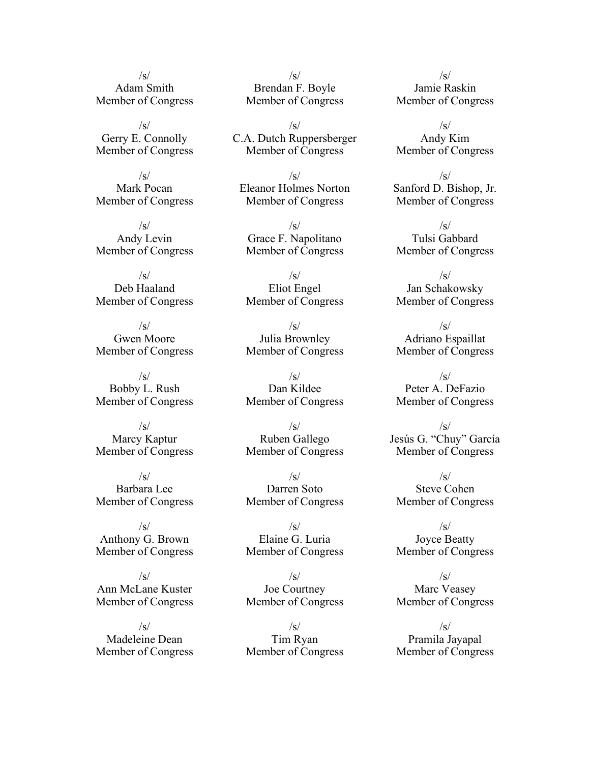$\sqrt{s}$ Adam Smith Member of Congress

 $\sqrt{s}$ Gerry E. Connolly Member of Congress

 $\sqrt{s}$ Mark Pocan Member of Congress

 $\sqrt{s}$ Andy Levin Member of Congress

 $\sqrt{s}$ Deb Haaland Member of Congress

/s/ Gwen Moore Member of Congress

 $\sqrt{s}$ Bobby L. Rush Member of Congress

 $\sqrt{s}$ Marcy Kaptur Member of Congress

 $\sqrt{s}$ Barbara Lee Member of Congress

 $\sqrt{s}$ Anthony G. Brown Member of Congress

 $\sqrt{s}$ Ann McLane Kuster Member of Congress

/s/ Madeleine Dean Member of Congress

/s/ Brendan F. Boyle Member of Congress

 $\sqrt{s}$ C.A. Dutch Ruppersberger Member of Congress

 $\sqrt{s}$ Eleanor Holmes Norton Member of Congress

 $\sqrt{s}$ Grace F. Napolitano Member of Congress

 $\sqrt{s}$ Eliot Engel Member of Congress

 $\sqrt{s}$ Julia Brownley Member of Congress

 $/s/$ Dan Kildee Member of Congress

/s/ Ruben Gallego Member of Congress

 $\sqrt{s}$ Darren Soto Member of Congress

 $\sqrt{s}$ Elaine G. Luria Member of Congress

 $\sqrt{s}$ Joe Courtney Member of Congress

 $\sqrt{s}$ Tim Ryan Member of Congress

/s/ Jamie Raskin Member of Congress

 $\sqrt{s}$ Andy Kim Member of Congress

 $\sqrt{s}$ Sanford D. Bishop, Jr. Member of Congress

 $\sqrt{s}$ Tulsi Gabbard Member of Congress

 $\sqrt{s}$ Jan Schakowsky Member of Congress

 $\sqrt{s}$ Adriano Espaillat Member of Congress

 $\sqrt{s}$ Peter A. DeFazio Member of Congress

/s/ Jesús G. "Chuy" García Member of Congress

 $\sqrt{s}$ Steve Cohen Member of Congress

 $\sqrt{s}$ Joyce Beatty Member of Congress

 $\sqrt{s}$ Marc Veasey Member of Congress

/s/ Pramila Jayapal Member of Congress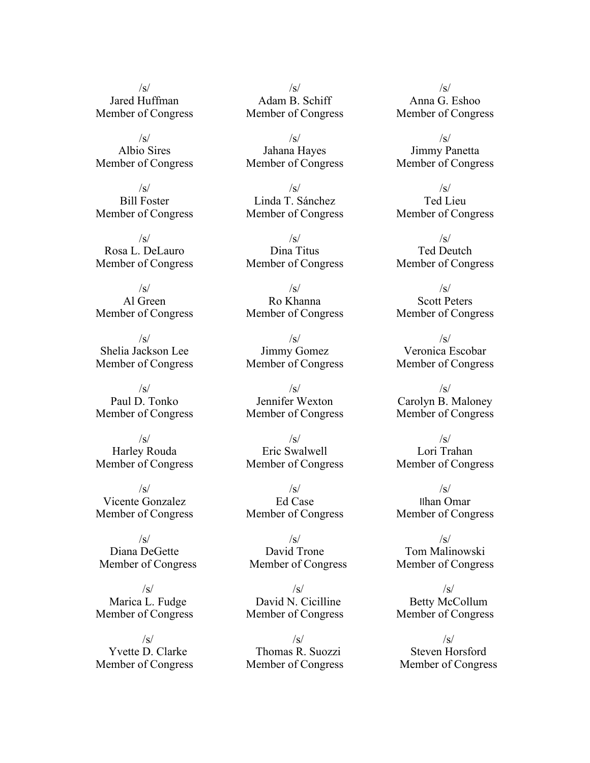/s/ Jared Huffman Member of Congress

 $\sqrt{s}$ Albio Sires Member of Congress

 $\sqrt{s}$ Bill Foster Member of Congress

 $\sqrt{s}$ Rosa L. DeLauro Member of Congress

 $\sqrt{s}$ Al Green Member of Congress

 $\sqrt{s}$ Shelia Jackson Lee Member of Congress

 $\sqrt{s}$ Paul D. Tonko Member of Congress

 $\sqrt{s}$ Harley Rouda Member of Congress

 $\sqrt{s}$ Vicente Gonzalez Member of Congress

 $\sqrt{s}$ Diana DeGette Member of Congress

 $\sqrt{s}$ Marica L. Fudge Member of Congress

 $\sqrt{s}$ Yvette D. Clarke Member of Congress

/s/ Adam B. Schiff Member of Congress

 $\sqrt{s}$ Jahana Hayes Member of Congress

/s/ Linda T. Sánchez Member of Congress

 $\sqrt{s}$ Dina Titus Member of Congress

 $\sqrt{s}$ Ro Khanna Member of Congress

 $\sqrt{s}$ Jimmy Gomez Member of Congress

 $\sqrt{s}$ Jennifer Wexton Member of Congress

 $\sqrt{s}$ Eric Swalwell Member of Congress

 $/s/$ Ed Case Member of Congress

 $\sqrt{s}$ David Trone Member of Congress

 $\sqrt{s}$ David N. Cicilline Member of Congress

 $\sqrt{s}$ Thomas R. Suozzi Member of Congress

 $\sqrt{s}$ Anna G. Eshoo Member of Congress

 $\sqrt{s}$ Jimmy Panetta Member of Congress

 $\sqrt{s}$ Ted Lieu Member of Congress

 $\sqrt{s}$ Ted Deutch Member of Congress

 $\sqrt{s}$ Scott Peters Member of Congress

 $\sqrt{s}$ Veronica Escobar Member of Congress

 $\sqrt{s}$ Carolyn B. Maloney Member of Congress

 $\sqrt{s}$ Lori Trahan Member of Congress

 $\sqrt{s}$ Ilhan Omar Member of Congress

 $\sqrt{s}$ Tom Malinowski Member of Congress

 $\sqrt{s}$ Betty McCollum Member of Congress

 $\sqrt{s}$ Steven Horsford Member of Congress